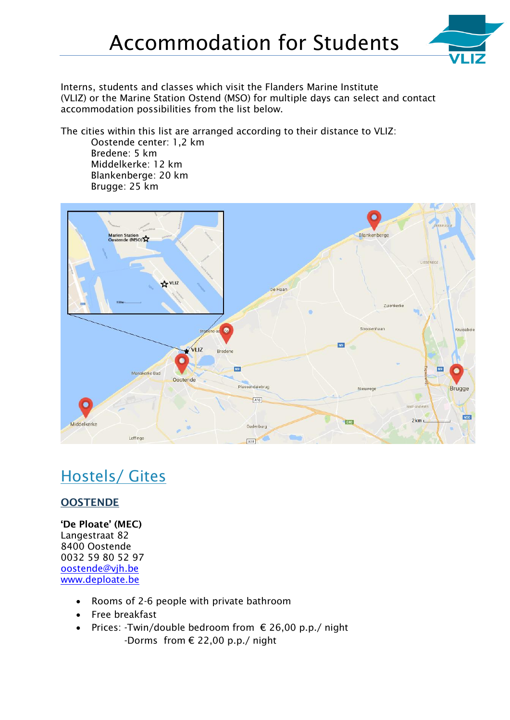

Interns, students and classes which visit the [Flanders Marine Institute](https://en.wikipedia.org/wiki/Flanders_Marine_Institute) (VLIZ) or the Marine Station Ostend (MSO) for multiple days can select and contact accommodation possibilities from the list below.

The cities within this list are arranged according to their distance to VLIZ:

Oostende center: 1,2 km Bredene: 5 km Middelkerke: 12 km Blankenberge: 20 km Brugge: 25 km



# Hostels/ Gites

## **OOSTENDE**

**'De Ploate' (MEC)** Langestraat 82 8400 Oostende 0032 59 80 52 97 oostende@vjh.be [www.deploate.be](http://www.deploate.be/)

- Rooms of 2-6 people with private bathroom
- Free breakfast
- Prices: -Twin/double bedroom from  $\epsilon$  26,00 p.p./ night -Dorms from € 22,00 p.p./ night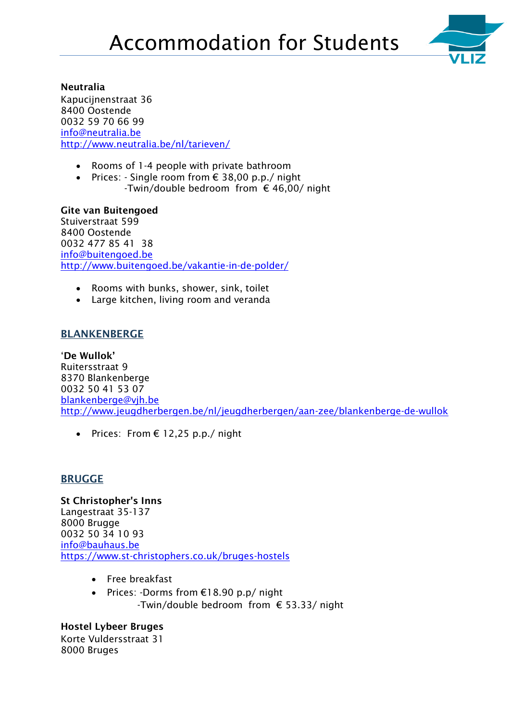

#### **Neutralia**

Kapucijnenstraat 36 8400 Oostende 0032 59 70 66 99 [info@neutralia.be](mailto:info@neutralia.be) <http://www.neutralia.be/nl/tarieven/>

- Rooms of 1-4 people with private bathroom
- Prices: Single room from € 38,00 p.p./ night -Twin/double bedroom from  $\epsilon$  46,00/ night

**Gite van Buitengoed** Stuiverstraat 599 8400 Oostende 0032 477 85 41 38 [info@buitengoed.be](mailto:info@buitengoed.be?subject=Mail%20via%20de%20website%20www.buitengoed.be) <http://www.buitengoed.be/vakantie-in-de-polder/>

- Rooms with bunks, shower, sink, toilet
- Large kitchen, living room and veranda

### **BLANKENBERGE**

'**De Wullok'** Ruitersstraat 9 8370 Blankenberge 0032 50 41 53 07 blankenberge@vjh.be <http://www.jeugdherbergen.be/nl/jeugdherbergen/aan-zee/blankenberge-de-wullok>

• Prices: From  $\epsilon$  12,25 p.p./ night

#### **BRUGGE**

**[St Christopher's Inns](https://www.st-christophers.co.uk/)** Langestraat 35-137 8000 Brugge 0032 50 34 10 93 [info@bauhaus.be](mailto:info@bauhaus.be) <https://www.st-christophers.co.uk/bruges-hostels>

- Free breakfast
- Prices: -Dorms from €18.90 p.p/ night -Twin/double bedroom from € 53.33/ night

#### **Hostel Lybeer Bruges** Korte Vuldersstraat 31 8000 Bruges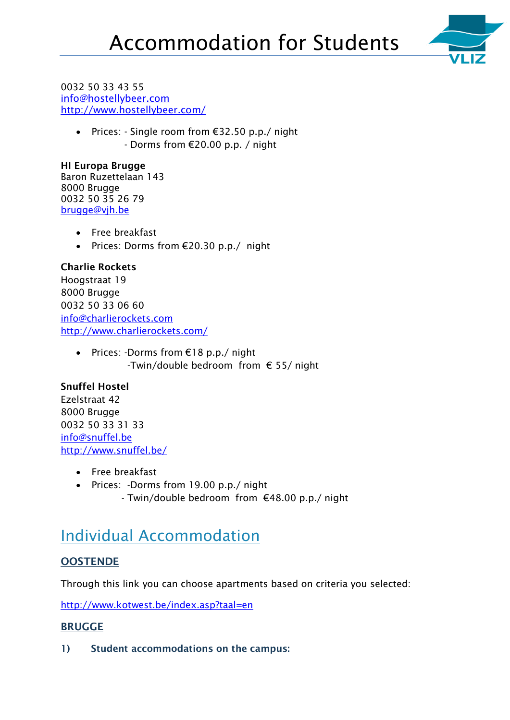

#### 0032 50 33 43 55 [info@hostellybeer.com](mailto:info@hostellybeer.com) <http://www.hostellybeer.com/>

 Prices: - Single room from €32.50 p.p./ night - Dorms from €20.00 p.p. / night

**HI Europa Brugge** Baron Ruzettelaan 143 8000 Brugge 0032 50 35 26 79 [brugge@vjh.be](mailto:brugge@vjh.be)

- Free breakfast
- Prices: Dorms from  $E20.30$  p.p./ night

### **Charlie Rockets** Hoogstraat 19 8000 Brugge 0032 50 33 06 60 [info@charlierockets.com](http://www.charlierockets.com/contactform.asp) <http://www.charlierockets.com/>

 Prices: -Dorms from €18 p.p./ night -Twin/double bedroom from  $\epsilon$  55/ night

## **[Snuffel Hostel](http://www.booking.com/hotel/be/snuffel-hostel-brugge.nl.html?aid=311093)**

Ezelstraat 42 8000 Brugge 0032 50 33 31 33 info@snuffel.be <http://www.snuffel.be/>

- Free breakfast
- Prices: -Dorms from 19.00 p.p./ night - Twin/double bedroom from €48.00 p.p./ night

# Individual Accommodation

## **OOSTENDE**

Through this link you can choose apartments based on criteria you selected:

<http://www.kotwest.be/index.asp?taal=en>

## **BRUGGE**

**1) Student [accommodations](https://www.google.be/search?espv=2&biw=1280&bih=884&q=Student+accommodations&spell=1&sa=X&ved=0ahUKEwi1zsuC7LHOAhXDDpoKHeU0BJMQvwUIGSgA) on the campus:**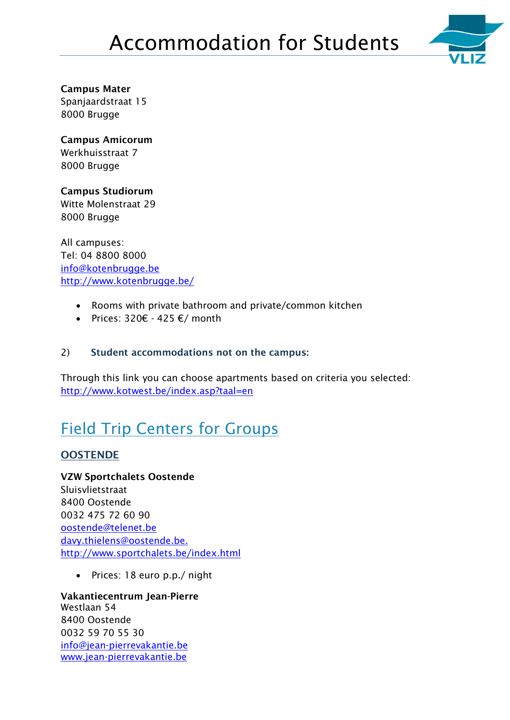

**Campus Mater** Spanjaardstraat 15 8000 Brugge

**Campus Amicorum** Werkhuisstraat 7 8000 Brugge

**Campus Studiorum** Witte Molenstraat 29 8000 Brugge

All campuses: Tel: 04 8800 8000 [info@kotenbrugge.be](mailto:info@kotenbrugge.be) <http://www.kotenbrugge.be/>

- Rooms with private bathroom and private/common kitchen
- Prices:  $320€ 425 €/month$

### 2) **Student [accommodations](https://www.google.be/search?espv=2&biw=1280&bih=884&q=Student+accommodations&spell=1&sa=X&ved=0ahUKEwi1zsuC7LHOAhXDDpoKHeU0BJMQvwUIGSgA) not on the campus:**

Through this link you can choose apartments based on criteria you selected: <http://www.kotwest.be/index.asp?taal=en>

# Field Trip Centers for Groups

## **OOSTENDE**

**VZW Sportchalets Oostende** Sluisvlietstraat 8400 Oostende 0032 475 72 60 90 [oostende@telenet.be](mailto:oostende@telenet.be) [davy.thielens@oostende.be.](mailto:davy.thielens@oostende.be) <http://www.sportchalets.be/index.html>

• Prices: 18 euro p.p./ night

**Vakantiecentrum Jean-Pierre** Westlaan 54 8400 Oostende 0032 59 70 55 30 info@jean-pierrevakantie.be [www.jean-pierrevakantie.be](http://www.jean-pierrevakantie.be/)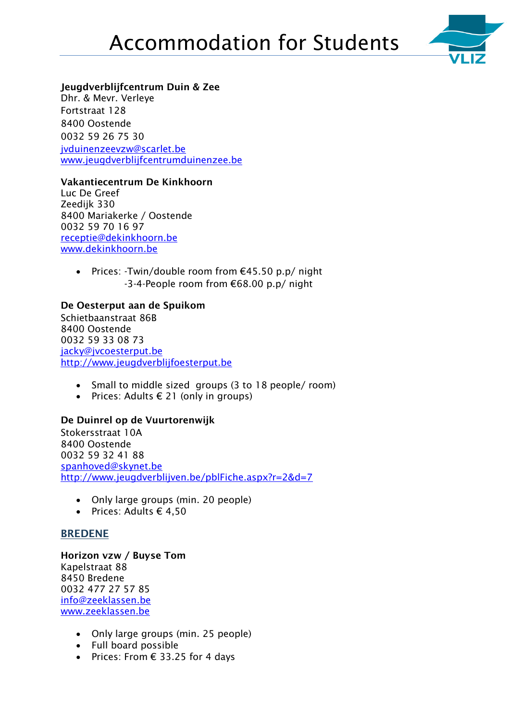

#### **Jeugdverblijfcentrum Duin & Zee**

Dhr. & Mevr. Verleye Fortstraat 128 8400 Oostende 0032 59 26 75 30 jvduinenzeevzw@scarlet.be [www.jeugdverblijfcentrumduinenzee.be](http://www.jeugdverblijfcentrumduinenzee.be/)

#### **Vakantiecentrum De Kinkhoorn**

Luc De Greef Zeedijk 330 8400 Mariakerke / Oostende 0032 59 70 16 97 receptie@dekinkhoorn.be [www.dekinkhoorn.be](http://www.dekinkhoorn.be/)

> Prices: -Twin/double room from €45.50 p.p/ night -3-4-People room from €68.00 p.p/ night

#### **De Oesterput aan de Spuikom**

Schietbaanstraat 86B 8400 Oostende 0032 59 33 08 73 [jacky@jvcoesterput.be](mailto:jacky@jvcoesterput.be) [http://www.jeugdverblijfoesterput.be](http://www.jeugdverblijfoesterput.be/)

- Small to middle sized groups (3 to 18 people/ room)
- Prices: Adults  $\epsilon$  21 (only in groups)

#### **De Duinrel op de Vuurtorenwijk**

Stokersstraat 10A 8400 Oostende 0032 59 32 41 88 [spanhoved@skynet.be](mailto:spanhoved@skynet.be) <http://www.jeugdverblijven.be/pblFiche.aspx?r=2&d=7>

- Only large groups (min. 20 people)
- Prices: Adults  $\epsilon$  4,50

#### **BREDENE**

**Horizon vzw / Buyse Tom** Kapelstraat 88 8450 Bredene 0032 477 27 57 85 info@zeeklassen.be [www.zeeklassen.be](http://www.zeeklassen.be/)

- Only large groups (min. 25 people)
- Full board possible
- Prices: From  $\epsilon$  33.25 for 4 days